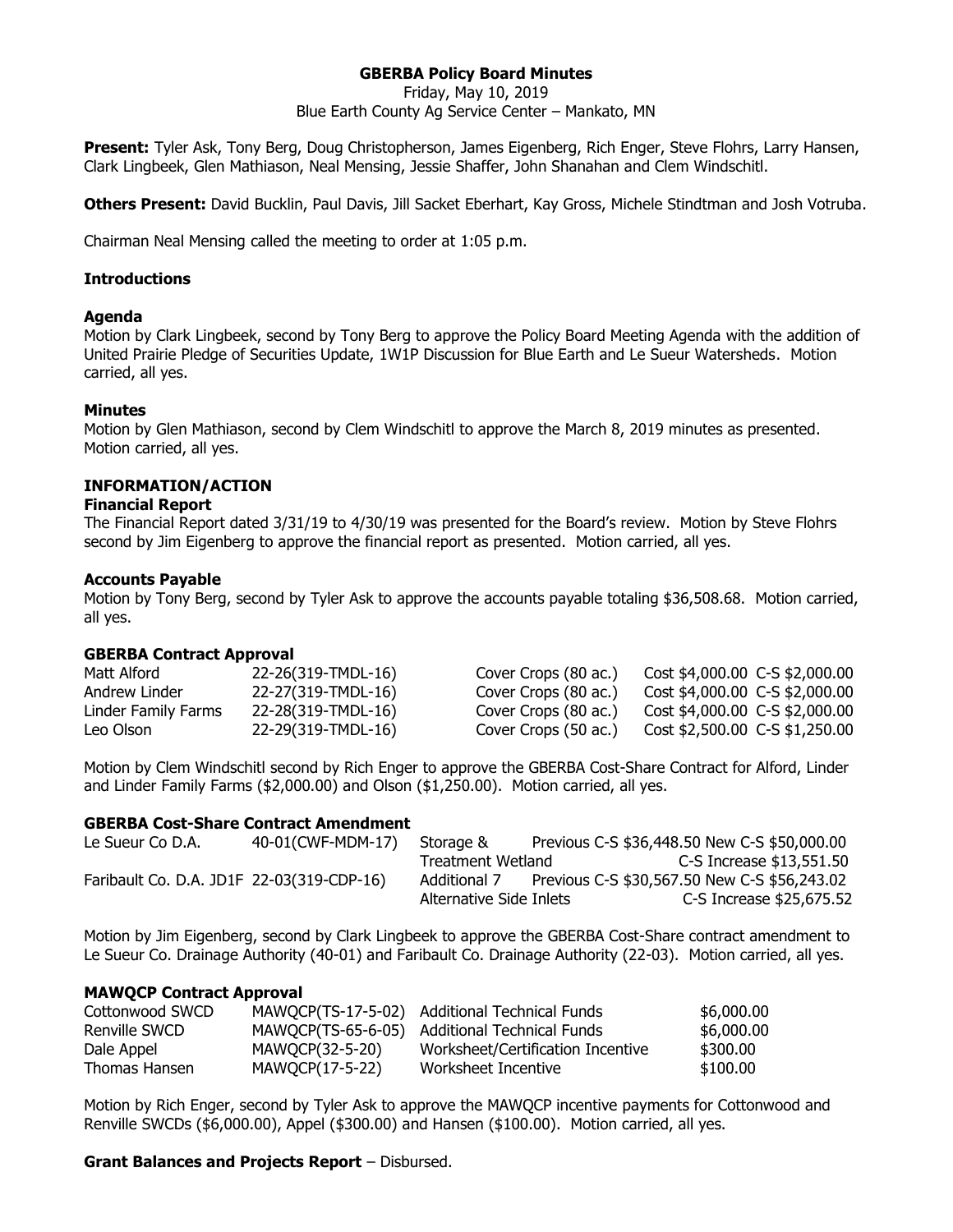# **GBERBA Policy Board Minutes**

Friday, May 10, 2019

Blue Earth County Ag Service Center – Mankato, MN

**Present:** Tyler Ask, Tony Berg, Doug Christopherson, James Eigenberg, Rich Enger, Steve Flohrs, Larry Hansen, Clark Lingbeek, Glen Mathiason, Neal Mensing, Jessie Shaffer, John Shanahan and Clem Windschitl.

**Others Present:** David Bucklin, Paul Davis, Jill Sacket Eberhart, Kay Gross, Michele Stindtman and Josh Votruba.

Chairman Neal Mensing called the meeting to order at 1:05 p.m.

## **Introductions**

## **Agenda**

Motion by Clark Lingbeek, second by Tony Berg to approve the Policy Board Meeting Agenda with the addition of United Prairie Pledge of Securities Update, 1W1P Discussion for Blue Earth and Le Sueur Watersheds. Motion carried, all yes.

## **Minutes**

Motion by Glen Mathiason, second by Clem Windschitl to approve the March 8, 2019 minutes as presented. Motion carried, all yes.

# **INFORMATION/ACTION**

## **Financial Report**

The Financial Report dated 3/31/19 to 4/30/19 was presented for the Board's review. Motion by Steve Flohrs second by Jim Eigenberg to approve the financial report as presented. Motion carried, all yes.

## **Accounts Payable**

Motion by Tony Berg, second by Tyler Ask to approve the accounts payable totaling \$36,508.68. Motion carried, all yes.

#### **GBERBA Contract Approval**

| Matt Alford         | 22-26(319-TMDL-16) | Cover Crops (80 ac.) | Cost \$4,000.00 C-S \$2,000.00 |
|---------------------|--------------------|----------------------|--------------------------------|
| Andrew Linder       | 22-27(319-TMDL-16) | Cover Crops (80 ac., | Cost \$4,000.00 C-S \$2,000.00 |
| Linder Family Farms | 22-28(319-TMDL-16) | Cover Crops (80 ac.) | Cost \$4,000.00 C-S \$2,000.00 |
| Leo Olson           | 22-29(319-TMDL-16) | Cover Crops (50 ac.) | Cost \$2,500.00 C-S \$1,250.00 |

Motion by Clem Windschitl second by Rich Enger to approve the GBERBA Cost-Share Contract for Alford, Linder and Linder Family Farms (\$2,000.00) and Olson (\$1,250.00). Motion carried, all yes.

#### **GBERBA Cost-Share Contract Amendment**

| Le Sueur Co D.A. | 40-01(CWF-MDM-17)                         | Storage &               | Previous C-S \$36,448.50 New C-S \$50,000.00 |  |
|------------------|-------------------------------------------|-------------------------|----------------------------------------------|--|
|                  |                                           | Treatment Wetland       | C-S Increase $$13,551.50$                    |  |
|                  | Faribault Co. D.A. JD1F 22-03(319-CDP-16) | Additional 7            | Previous C-S \$30,567.50 New C-S \$56,243.02 |  |
|                  |                                           | Alternative Side Inlets | C-S Increase \$25,675.52                     |  |

Motion by Jim Eigenberg, second by Clark Lingbeek to approve the GBERBA Cost-Share contract amendment to Le Sueur Co. Drainage Authority (40-01) and Faribault Co. Drainage Authority (22-03). Motion carried, all yes.

#### **MAWQCP Contract Approval**

| Cottonwood SWCD |                 | MAWOCP(TS-17-5-02) Additional Technical Funds | \$6,000.00 |
|-----------------|-----------------|-----------------------------------------------|------------|
| Renville SWCD   |                 | MAWOCP(TS-65-6-05) Additional Technical Funds | \$6,000.00 |
| Dale Appel      | MAWOCP(32-5-20) | Worksheet/Certification Incentive             | \$300,00   |
| Thomas Hansen   | MAWOCP(17-5-22) | Worksheet Incentive                           | \$100.00   |

Motion by Rich Enger, second by Tyler Ask to approve the MAWQCP incentive payments for Cottonwood and Renville SWCDs (\$6,000.00), Appel (\$300.00) and Hansen (\$100.00). Motion carried, all yes.

#### **Grant Balances and Projects Report** – Disbursed.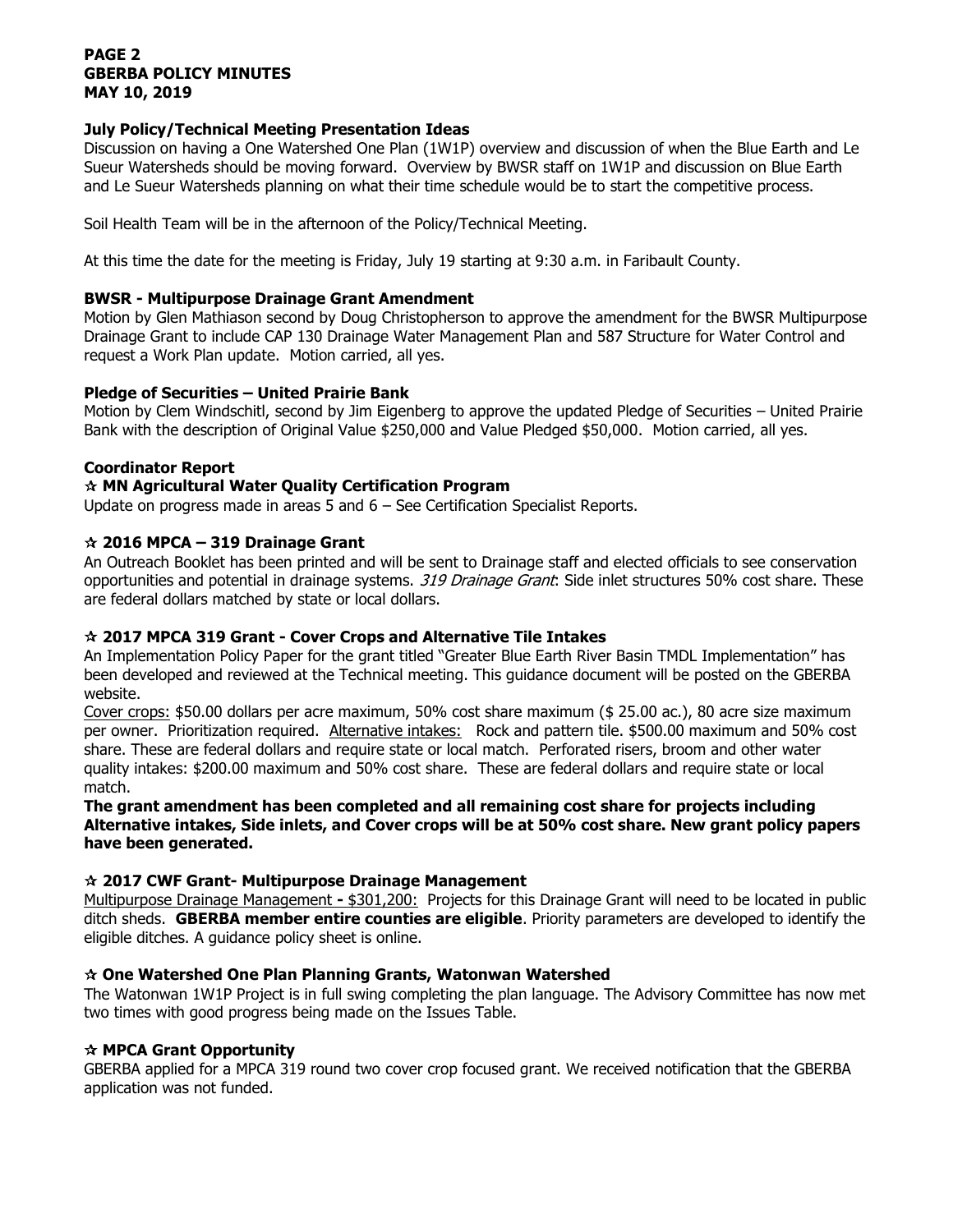# **PAGE 2 GBERBA POLICY MINUTES MAY 10, 2019**

# **July Policy/Technical Meeting Presentation Ideas**

Discussion on having a One Watershed One Plan (1W1P) overview and discussion of when the Blue Earth and Le Sueur Watersheds should be moving forward. Overview by BWSR staff on 1W1P and discussion on Blue Earth and Le Sueur Watersheds planning on what their time schedule would be to start the competitive process.

Soil Health Team will be in the afternoon of the Policy/Technical Meeting.

At this time the date for the meeting is Friday, July 19 starting at 9:30 a.m. in Faribault County.

# **BWSR - Multipurpose Drainage Grant Amendment**

Motion by Glen Mathiason second by Doug Christopherson to approve the amendment for the BWSR Multipurpose Drainage Grant to include CAP 130 Drainage Water Management Plan and 587 Structure for Water Control and request a Work Plan update. Motion carried, all yes.

## **Pledge of Securities – United Prairie Bank**

Motion by Clem Windschitl, second by Jim Eigenberg to approve the updated Pledge of Securities – United Prairie Bank with the description of Original Value \$250,000 and Value Pledged \$50,000. Motion carried, all yes.

## **Coordinator Report**

# **MN Agricultural Water Quality Certification Program**

Update on progress made in areas 5 and 6 – See Certification Specialist Reports.

## **2016 MPCA – 319 Drainage Grant**

An Outreach Booklet has been printed and will be sent to Drainage staff and elected officials to see conservation opportunities and potential in drainage systems. 319 Drainage Grant: Side inlet structures 50% cost share. These are federal dollars matched by state or local dollars.

# **2017 MPCA 319 Grant - Cover Crops and Alternative Tile Intakes**

An Implementation Policy Paper for the grant titled "Greater Blue Earth River Basin TMDL Implementation" has been developed and reviewed at the Technical meeting. This guidance document will be posted on the GBERBA website.

Cover crops: \$50.00 dollars per acre maximum, 50% cost share maximum (\$ 25.00 ac.), 80 acre size maximum per owner. Prioritization required. Alternative intakes: Rock and pattern tile. \$500.00 maximum and 50% cost share. These are federal dollars and require state or local match. Perforated risers, broom and other water quality intakes: \$200.00 maximum and 50% cost share. These are federal dollars and require state or local match.

# **The grant amendment has been completed and all remaining cost share for projects including Alternative intakes, Side inlets, and Cover crops will be at 50% cost share. New grant policy papers have been generated.**

# **2017 CWF Grant- Multipurpose Drainage Management**

Multipurpose Drainage Management **-** \$301,200: Projects for this Drainage Grant will need to be located in public ditch sheds. **GBERBA member entire counties are eligible**. Priority parameters are developed to identify the eligible ditches. A guidance policy sheet is online.

# **One Watershed One Plan Planning Grants, Watonwan Watershed**

The Watonwan 1W1P Project is in full swing completing the plan language. The Advisory Committee has now met two times with good progress being made on the Issues Table.

#### **MPCA Grant Opportunity**

GBERBA applied for a MPCA 319 round two cover crop focused grant. We received notification that the GBERBA application was not funded.